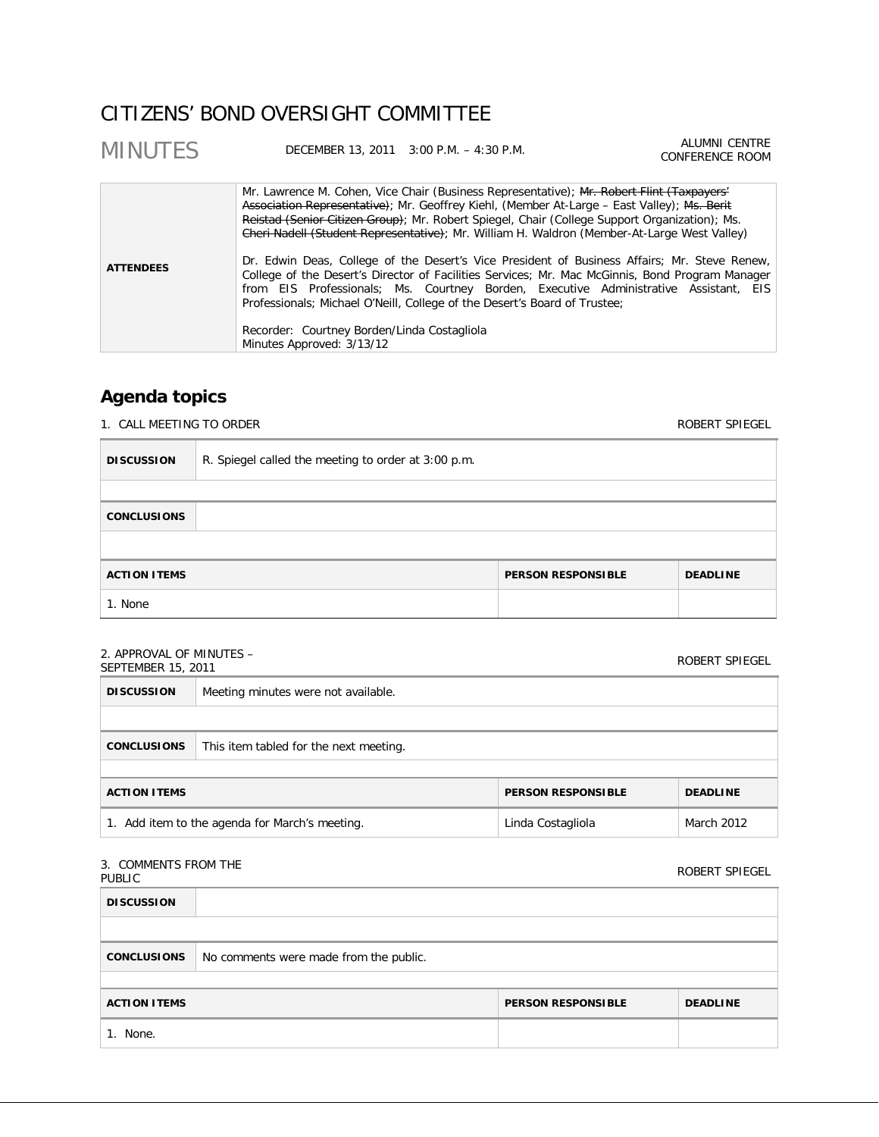## CITIZENS' BOND OVERSIGHT COMMITTEE

| <b>MINUTES</b>   | DECEMBER 13, 2011 3:00 P.M. - 4:30 P.M.                                  |                                                                                                                                                                                                                                                                                                                                                                                                                                                                                                                                                                                                                                                                                                                                                                  | ALUMNI CENTRE<br>CONFERENCE ROOM |
|------------------|--------------------------------------------------------------------------|------------------------------------------------------------------------------------------------------------------------------------------------------------------------------------------------------------------------------------------------------------------------------------------------------------------------------------------------------------------------------------------------------------------------------------------------------------------------------------------------------------------------------------------------------------------------------------------------------------------------------------------------------------------------------------------------------------------------------------------------------------------|----------------------------------|
| <b>ATTENDEES</b> | Recorder: Courtney Borden/Linda Costagliola<br>Minutes Approved: 3/13/12 | Mr. Lawrence M. Cohen, Vice Chair (Business Representative); Mr. Robert Flint (Taxpayers'<br>Association Representative); Mr. Geoffrey Kiehl, (Member At-Large - East Valley); Ms. Berit<br>Reistad (Senior Citizen Group); Mr. Robert Spiegel, Chair (College Support Organization); Ms.<br>Cheri Nadell (Student Representative); Mr. William H. Waldron (Member-At-Large West Valley)<br>Dr. Edwin Deas, College of the Desert's Vice President of Business Affairs; Mr. Steve Renew,<br>College of the Desert's Director of Facilities Services; Mr. Mac McGinnis, Bond Program Manager<br>from EIS Professionals; Ms. Courtney Borden, Executive Administrative Assistant, EIS<br>Professionals; Michael O'Neill, College of the Desert's Board of Trustee; |                                  |

## **Agenda topics**

E

1. CALL MEETING TO ORDER ROBERT SPIEGEL

| <b>DISCUSSION</b>                                                   | R. Spiegel called the meeting to order at 3:00 p.m. |  |  |  |
|---------------------------------------------------------------------|-----------------------------------------------------|--|--|--|
|                                                                     |                                                     |  |  |  |
| <b>CONCLUSIONS</b>                                                  |                                                     |  |  |  |
|                                                                     |                                                     |  |  |  |
| <b>ACTION ITEMS</b><br><b>PERSON RESPONSIBLE</b><br><b>DEADLINE</b> |                                                     |  |  |  |
| 1. None                                                             |                                                     |  |  |  |

## 2. APPROVAL OF MINUTES –

| $\mathsf{L}$ . ALLIVO VALIO LIIIVO LEJ $\mathsf{L}$<br>SEPTEMBER 15, 2011 |                                        | ROBERT SPIEGEL            |                 |
|---------------------------------------------------------------------------|----------------------------------------|---------------------------|-----------------|
| <b>DISCUSSION</b>                                                         | Meeting minutes were not available.    |                           |                 |
|                                                                           |                                        |                           |                 |
| <b>CONCLUSIONS</b>                                                        | This item tabled for the next meeting. |                           |                 |
|                                                                           |                                        |                           |                 |
| <b>ACTION ITEMS</b>                                                       |                                        | <b>PERSON RESPONSIBLE</b> | <b>DEADLINE</b> |
| 1. Add item to the agenda for March's meeting.                            |                                        | Linda Costagliola         | March 2012      |

### 3. COMMENTS FROM THE

| <b>J. CONTRILIVIJI INONI ITIL</b><br>PUBLIC |                                        |                           | ROBERT SPIEGEL  |
|---------------------------------------------|----------------------------------------|---------------------------|-----------------|
| <b>DISCUSSION</b>                           |                                        |                           |                 |
|                                             |                                        |                           |                 |
| <b>CONCLUSIONS</b>                          | No comments were made from the public. |                           |                 |
|                                             |                                        |                           |                 |
| <b>ACTION ITEMS</b>                         |                                        | <b>PERSON RESPONSIBLE</b> | <b>DEADLINE</b> |
| 1. None.                                    |                                        |                           |                 |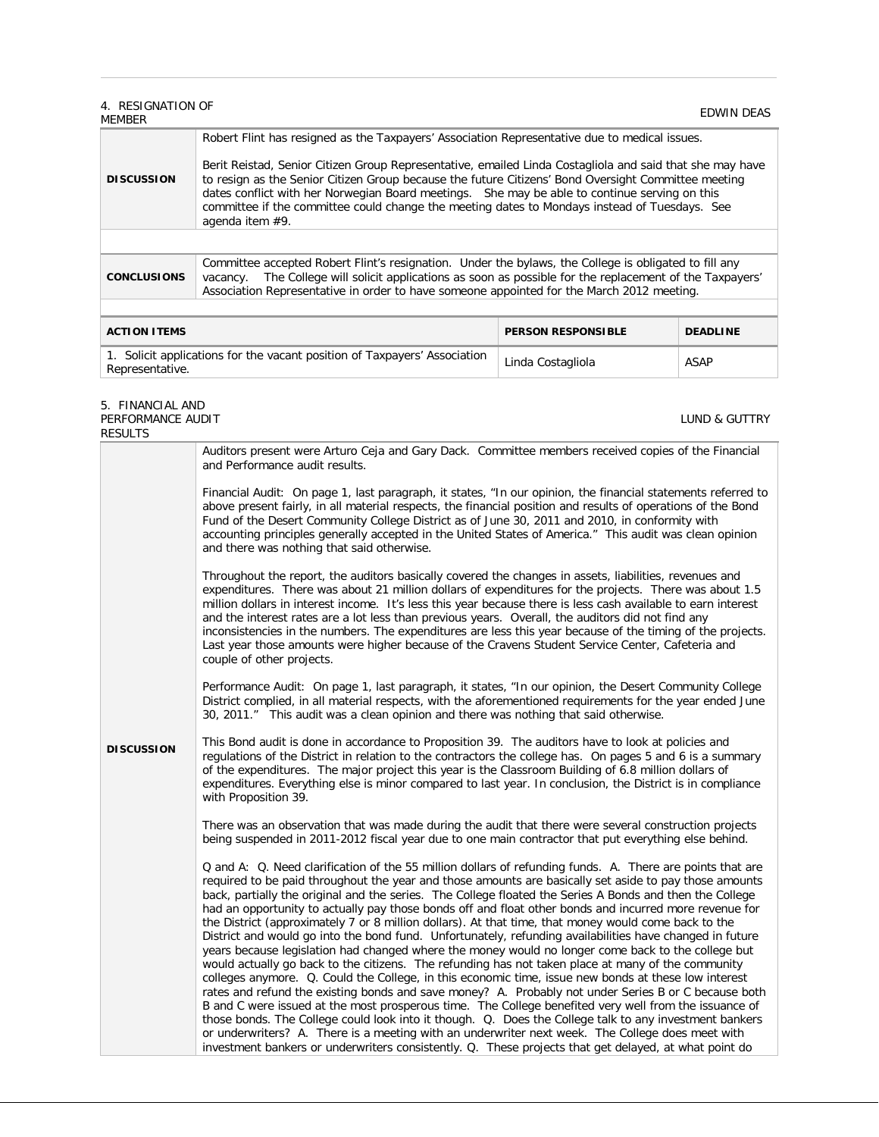# 4. RESIGNATION OF MEMBER EDWIN DEAS

| <b>DISCUSSION</b>  | Robert Flint has resigned as the Taxpayers' Association Representative due to medical issues.<br>Berit Reistad, Senior Citizen Group Representative, emailed Linda Costagliola and said that she may have<br>to resign as the Senior Citizen Group because the future Citizens' Bond Oversight Committee meeting<br>dates conflict with her Norwegian Board meetings. She may be able to continue serving on this<br>committee if the committee could change the meeting dates to Mondays instead of Tuesdays. See<br>agenda item #9. |
|--------------------|---------------------------------------------------------------------------------------------------------------------------------------------------------------------------------------------------------------------------------------------------------------------------------------------------------------------------------------------------------------------------------------------------------------------------------------------------------------------------------------------------------------------------------------|
|                    |                                                                                                                                                                                                                                                                                                                                                                                                                                                                                                                                       |
| <b>CONCLUSIONS</b> | Committee accepted Robert Flint's resignation. Under the bylaws, the College is obligated to fill any<br>The College will solicit applications as soon as possible for the replacement of the Taxpayers'<br>vacancy.<br>Association Representative in order to have someone appointed for the March 2012 meeting.                                                                                                                                                                                                                     |
|                    |                                                                                                                                                                                                                                                                                                                                                                                                                                                                                                                                       |

| <b>ACTION ITEMS</b>                                                                          | <b>PERSON RESPONSIBLE</b> | <b>DEADLINE</b> |
|----------------------------------------------------------------------------------------------|---------------------------|-----------------|
| 1. Solicit applications for the vacant position of Taxpayers' Association<br>Representative. | Linda Costagliola         | ASAP            |

### 5. FINANCIAL AND PERFORMANCE AUDIT

LUND & GUTTRY

| <b>RESULTS</b>    |                                                                                                                                                                                                                                                                                                                                                                                                                                                                                                                                                                                                                                                                                                                                                                                                                                                                                                                                                                                                                                                                                                                                                                                                                                                                                                                                                                                                                                                                                                                           |
|-------------------|---------------------------------------------------------------------------------------------------------------------------------------------------------------------------------------------------------------------------------------------------------------------------------------------------------------------------------------------------------------------------------------------------------------------------------------------------------------------------------------------------------------------------------------------------------------------------------------------------------------------------------------------------------------------------------------------------------------------------------------------------------------------------------------------------------------------------------------------------------------------------------------------------------------------------------------------------------------------------------------------------------------------------------------------------------------------------------------------------------------------------------------------------------------------------------------------------------------------------------------------------------------------------------------------------------------------------------------------------------------------------------------------------------------------------------------------------------------------------------------------------------------------------|
|                   | Auditors present were Arturo Ceja and Gary Dack. Committee members received copies of the Financial<br>and Performance audit results.                                                                                                                                                                                                                                                                                                                                                                                                                                                                                                                                                                                                                                                                                                                                                                                                                                                                                                                                                                                                                                                                                                                                                                                                                                                                                                                                                                                     |
|                   | Financial Audit: On page 1, last paragraph, it states, "In our opinion, the financial statements referred to<br>above present fairly, in all material respects, the financial position and results of operations of the Bond<br>Fund of the Desert Community College District as of June 30, 2011 and 2010, in conformity with<br>accounting principles generally accepted in the United States of America." This audit was clean opinion<br>and there was nothing that said otherwise.                                                                                                                                                                                                                                                                                                                                                                                                                                                                                                                                                                                                                                                                                                                                                                                                                                                                                                                                                                                                                                   |
|                   | Throughout the report, the auditors basically covered the changes in assets, liabilities, revenues and<br>expenditures. There was about 21 million dollars of expenditures for the projects. There was about 1.5<br>million dollars in interest income. It's less this year because there is less cash available to earn interest<br>and the interest rates are a lot less than previous years. Overall, the auditors did not find any<br>inconsistencies in the numbers. The expenditures are less this year because of the timing of the projects.<br>Last year those amounts were higher because of the Cravens Student Service Center, Cafeteria and<br>couple of other projects.                                                                                                                                                                                                                                                                                                                                                                                                                                                                                                                                                                                                                                                                                                                                                                                                                                     |
|                   | Performance Audit: On page 1, last paragraph, it states, "In our opinion, the Desert Community College<br>District complied, in all material respects, with the aforementioned requirements for the year ended June<br>30, 2011." This audit was a clean opinion and there was nothing that said otherwise.                                                                                                                                                                                                                                                                                                                                                                                                                                                                                                                                                                                                                                                                                                                                                                                                                                                                                                                                                                                                                                                                                                                                                                                                               |
| <b>DISCUSSION</b> | This Bond audit is done in accordance to Proposition 39. The auditors have to look at policies and<br>regulations of the District in relation to the contractors the college has. On pages 5 and 6 is a summary<br>of the expenditures. The major project this year is the Classroom Building of 6.8 million dollars of<br>expenditures. Everything else is minor compared to last year. In conclusion, the District is in compliance<br>with Proposition 39.                                                                                                                                                                                                                                                                                                                                                                                                                                                                                                                                                                                                                                                                                                                                                                                                                                                                                                                                                                                                                                                             |
|                   | There was an observation that was made during the audit that there were several construction projects<br>being suspended in 2011-2012 fiscal year due to one main contractor that put everything else behind.                                                                                                                                                                                                                                                                                                                                                                                                                                                                                                                                                                                                                                                                                                                                                                                                                                                                                                                                                                                                                                                                                                                                                                                                                                                                                                             |
|                   | Q and A: Q. Need clarification of the 55 million dollars of refunding funds. A. There are points that are<br>required to be paid throughout the year and those amounts are basically set aside to pay those amounts<br>back, partially the original and the series. The College floated the Series A Bonds and then the College<br>had an opportunity to actually pay those bonds off and float other bonds and incurred more revenue for<br>the District (approximately 7 or 8 million dollars). At that time, that money would come back to the<br>District and would go into the bond fund. Unfortunately, refunding availabilities have changed in future<br>years because legislation had changed where the money would no longer come back to the college but<br>would actually go back to the citizens. The refunding has not taken place at many of the community<br>colleges anymore. Q. Could the College, in this economic time, issue new bonds at these low interest<br>rates and refund the existing bonds and save money? A. Probably not under Series B or C because both<br>B and C were issued at the most prosperous time. The College benefited very well from the issuance of<br>those bonds. The College could look into it though. Q. Does the College talk to any investment bankers<br>or underwriters? A. There is a meeting with an underwriter next week. The College does meet with<br>investment bankers or underwriters consistently. Q. These projects that get delayed, at what point do |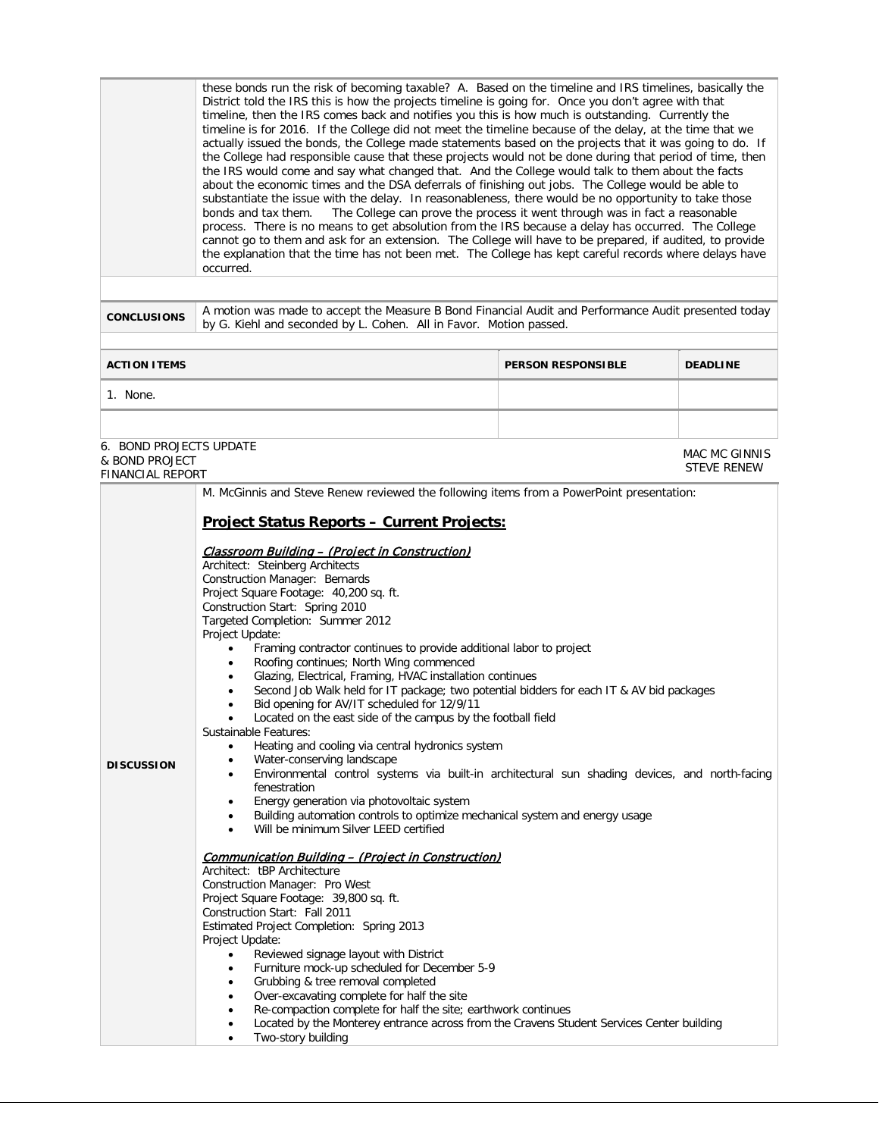these bonds run the risk of becoming taxable? A. Based on the timeline and IRS timelines, basically the District told the IRS this is how the projects timeline is going for. Once you don't agree with that timeline, then the IRS comes back and notifies you this is how much is outstanding. Currently the timeline is for 2016. If the College did not meet the timeline because of the delay, at the time that we actually issued the bonds, the College made statements based on the projects that it was going to do. If the College had responsible cause that these projects would not be done during that period of time, then the IRS would come and say what changed that. And the College would talk to them about the facts about the economic times and the DSA deferrals of finishing out jobs. The College would be able to substantiate the issue with the delay. In reasonableness, there would be no opportunity to take those bonds and tax them. The College can prove the process it went through was in fact a reasonable The College can prove the process it went through was in fact a reasonable process. There is no means to get absolution from the IRS because a delay has occurred. The College cannot go to them and ask for an extension. The College will have to be prepared, if audited, to provide the explanation that the time has not been met. The College has kept careful records where delays have occurred.

**CONCLUSIONS** A motion was made to accept the Measure B Bond Financial Audit and Performance Audit presented today by G. Kiehl and seconded by L. Cohen. All in Favor. Motion passed.

> MAC MC GINNIS STEVE RENEW

| <b>ACTION ITEMS</b> | <b>PERSON RESPONSIBLE</b> | <b>DEADLINE</b> |
|---------------------|---------------------------|-----------------|
| None.               |                           |                 |
|                     |                           |                 |

6. BOND PROJECTS UPDATE & BOND PROJECT FINANCIAL REPORT

| IINAINUIAL RLFURI |                                                                                                                                                                                                                                                                                                                                                                                                                                                                                                                                                                                                                                                                                                                                                                                                                                                                                                                                                                                                                                                                                                                                                               |  |  |
|-------------------|---------------------------------------------------------------------------------------------------------------------------------------------------------------------------------------------------------------------------------------------------------------------------------------------------------------------------------------------------------------------------------------------------------------------------------------------------------------------------------------------------------------------------------------------------------------------------------------------------------------------------------------------------------------------------------------------------------------------------------------------------------------------------------------------------------------------------------------------------------------------------------------------------------------------------------------------------------------------------------------------------------------------------------------------------------------------------------------------------------------------------------------------------------------|--|--|
|                   | M. McGinnis and Steve Renew reviewed the following items from a PowerPoint presentation:                                                                                                                                                                                                                                                                                                                                                                                                                                                                                                                                                                                                                                                                                                                                                                                                                                                                                                                                                                                                                                                                      |  |  |
|                   | <b>Project Status Reports - Current Projects:</b>                                                                                                                                                                                                                                                                                                                                                                                                                                                                                                                                                                                                                                                                                                                                                                                                                                                                                                                                                                                                                                                                                                             |  |  |
| <b>DISCUSSION</b> | <u> Classroom Building – (Project in Construction)</u><br>Architect: Steinberg Architects<br>Construction Manager: Bernards<br>Project Square Footage: 40,200 sq. ft.<br>Construction Start: Spring 2010<br>Targeted Completion: Summer 2012<br>Project Update:<br>Framing contractor continues to provide additional labor to project<br>٠<br>Roofing continues; North Wing commenced<br>$\bullet$<br>Glazing, Electrical, Framing, HVAC installation continues<br>٠<br>Second Job Walk held for IT package; two potential bidders for each IT & AV bid packages<br>٠<br>Bid opening for AV/IT scheduled for 12/9/11<br>Located on the east side of the campus by the football field<br>Sustainable Features:<br>Heating and cooling via central hydronics system<br>$\bullet$<br>Water-conserving landscape<br>$\bullet$<br>Environmental control systems via built-in architectural sun shading devices, and north-facing<br>٠<br>fenestration<br>Energy generation via photovoltaic system<br>$\bullet$<br>Building automation controls to optimize mechanical system and energy usage<br>$\bullet$<br>Will be minimum Silver LEED certified<br>$\bullet$ |  |  |
|                   | Communication Building - (Project in Construction)<br>Architect: tBP Architecture<br>Construction Manager: Pro West<br>Project Square Footage: 39,800 sq. ft.<br>Construction Start: Fall 2011<br>Estimated Project Completion: Spring 2013<br>Project Update:<br>Reviewed signage layout with District<br>Furniture mock-up scheduled for December 5-9<br>٠<br>Grubbing & tree removal completed<br>$\bullet$<br>Over-excavating complete for half the site<br>$\bullet$<br>Re-compaction complete for half the site; earthwork continues<br>Located by the Monterey entrance across from the Cravens Student Services Center building<br>Two-story building                                                                                                                                                                                                                                                                                                                                                                                                                                                                                                 |  |  |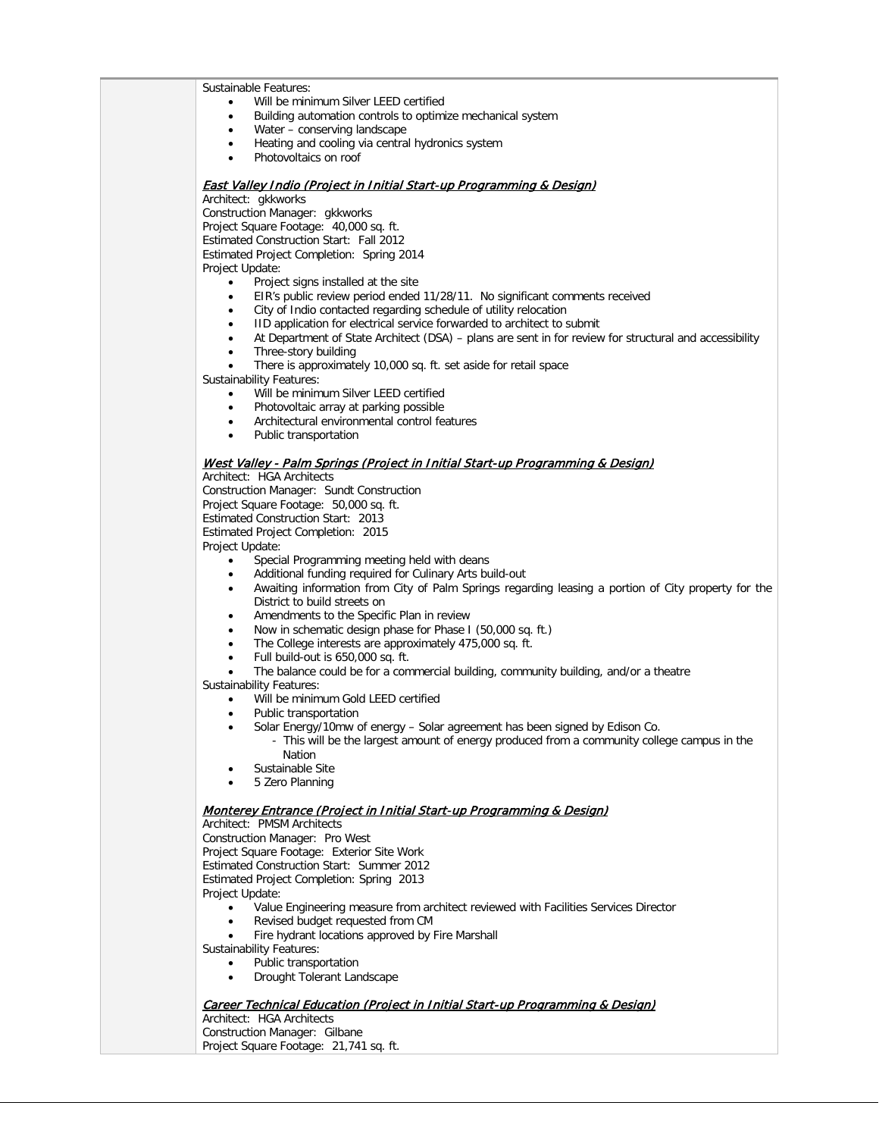Sustainable Features:

- Will be minimum Silver LEED certified
- Building automation controls to optimize mechanical system
- Water conserving landscape
- Heating and cooling via central hydronics system
- Photovoltaics on roof

#### East Valley Indio (Project in Initial Start-up Programming & Design)

Architect: gkkworks

Construction Manager: gkkworks Project Square Footage: 40,000 sq. ft. Estimated Construction Start: Fall 2012 Estimated Project Completion: Spring 2014 Project Update:

- Project signs installed at the site
- EIR's public review period ended 11/28/11. No significant comments received
- City of Indio contacted regarding schedule of utility relocation
- IID application for electrical service forwarded to architect to submit
- At Department of State Architect (DSA) plans are sent in for review for structural and accessibility
- Three-story building
- There is approximately 10,000 sq. ft. set aside for retail space

Sustainability Features:

Will be minimum Silver LEED certified

- Photovoltaic array at parking possible
- Architectural environmental control features
- Public transportation

#### West Valley - Palm Springs (Project in Initial Start-up Programming & Design)

Architect: HGA Architects

Construction Manager: Sundt Construction

Project Square Footage: 50,000 sq. ft.

Estimated Construction Start: 2013

Estimated Project Completion: 2015

Project Update:

- Special Programming meeting held with deans
- Additional funding required for Culinary Arts build-out
- Awaiting information from City of Palm Springs regarding leasing a portion of City property for the District to build streets on
- Amendments to the Specific Plan in review
- Now in schematic design phase for Phase I (50,000 sq. ft.)
- The College interests are approximately 475,000 sq. ft.
- Full build-out is 650,000 sq. ft.
- The balance could be for a commercial building, community building, and/or a theatre

Sustainability Features:

• Will be minimum Gold LEED certified

- Public transportation
- Solar Energy/10mw of energy Solar agreement has been signed by Edison Co.
	- This will be the largest amount of energy produced from a community college campus in the Nation
- Sustainable Site
- 5 Zero Planning

#### Monterey Entrance (Project in Initial Start-up Programming & Design)

Architect: PMSM Architects

Construction Manager: Pro West

Project Square Footage: Exterior Site Work

Estimated Construction Start: Summer 2012

Estimated Project Completion: Spring 2013

Project Update:

- Value Engineering measure from architect reviewed with Facilities Services Director
- Revised budget requested from CM
- Fire hydrant locations approved by Fire Marshall

Sustainability Features:

- Public transportation
- Drought Tolerant Landscape

### Career Technical Education (Project in Initial Start-up Programming & Design)

Architect: HGA Architects Construction Manager: Gilbane Project Square Footage: 21,741 sq. ft.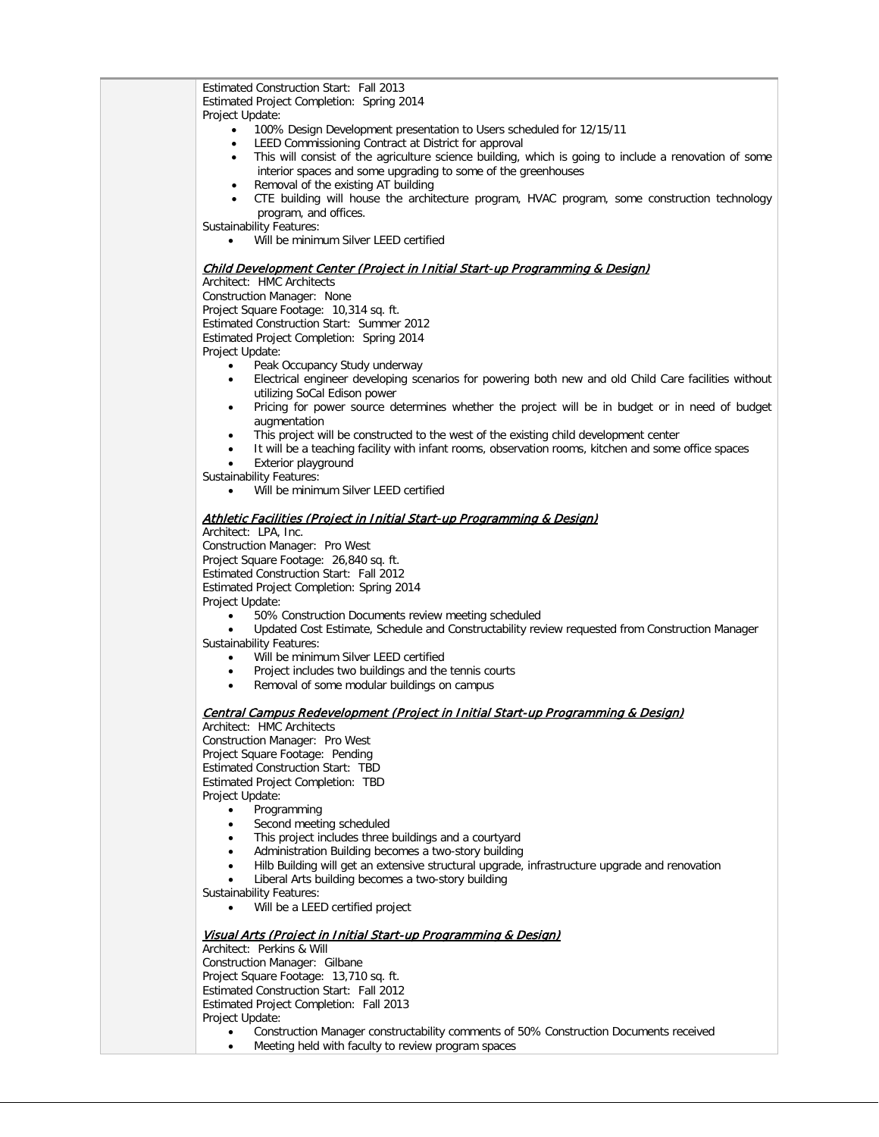| Estimated Construction Start: Fall 2013                                                                          |
|------------------------------------------------------------------------------------------------------------------|
| Estimated Project Completion: Spring 2014                                                                        |
| Project Update:                                                                                                  |
| 100% Design Development presentation to Users scheduled for 12/15/11<br>$\bullet$                                |
| LEED Commissioning Contract at District for approval<br>٠                                                        |
| This will consist of the agriculture science building, which is going to include a renovation of some<br>٠       |
| interior spaces and some upgrading to some of the greenhouses                                                    |
| Removal of the existing AT building<br>٠                                                                         |
| CTE building will house the architecture program, HVAC program, some construction technology<br>$\bullet$        |
| program, and offices.                                                                                            |
| <b>Sustainability Features:</b>                                                                                  |
| Will be minimum Silver LEED certified<br>$\bullet$                                                               |
|                                                                                                                  |
| Child Development Center (Project in Initial Start-up Programming & Design)                                      |
| Architect: HMC Architects                                                                                        |
| Construction Manager: None                                                                                       |
| Project Square Footage: 10,314 sq. ft.                                                                           |
| Estimated Construction Start: Summer 2012                                                                        |
| Estimated Project Completion: Spring 2014                                                                        |
| Project Update:                                                                                                  |
| Peak Occupancy Study underway<br>$\bullet$                                                                       |
| Electrical engineer developing scenarios for powering both new and old Child Care facilities without<br>٠        |
| utilizing SoCal Edison power                                                                                     |
| Pricing for power source determines whether the project will be in budget or in need of budget<br>$\bullet$      |
| augmentation                                                                                                     |
| This project will be constructed to the west of the existing child development center<br>٠                       |
| It will be a teaching facility with infant rooms, observation rooms, kitchen and some office spaces<br>$\bullet$ |
| Exterior playground                                                                                              |
| <b>Sustainability Features:</b>                                                                                  |
| Will be minimum Silver LEED certified<br>$\bullet$                                                               |
| Athletic Facilities (Project in Initial Start-up Programming & Design)                                           |
| Architect: LPA, Inc.                                                                                             |
| Construction Manager: Pro West                                                                                   |
| Project Square Footage: 26,840 sq. ft.                                                                           |
| Estimated Construction Start: Fall 2012                                                                          |
| Estimated Project Completion: Spring 2014                                                                        |
| Project Update:                                                                                                  |
| 50% Construction Documents review meeting scheduled<br>$\bullet$                                                 |
| Updated Cost Estimate, Schedule and Constructability review requested from Construction Manager                  |
| <b>Sustainability Features:</b>                                                                                  |
| Will be minimum Silver LEED certified                                                                            |
| Project includes two buildings and the tennis courts<br>$\bullet$                                                |
| Removal of some modular buildings on campus<br>$\bullet$                                                         |
|                                                                                                                  |
| Central Campus Redevelopment (Project in Initial Start-up Programming & Design)<br>Architect: HMC Architects     |
|                                                                                                                  |
| Construction Manager: Pro West<br>Project Square Footage: Pending                                                |
| <b>Estimated Construction Start: TBD</b>                                                                         |
| Estimated Project Completion: TBD                                                                                |
|                                                                                                                  |
| Project Update:                                                                                                  |
| Programming<br>$\bullet$<br>Second meeting scheduled                                                             |
| ٠                                                                                                                |
| This project includes three buildings and a courtyard<br>٠                                                       |
| Administration Building becomes a two-story building<br>٠                                                        |
| Hilb Building will get an extensive structural upgrade, infrastructure upgrade and renovation<br>٠               |
| Liberal Arts building becomes a two-story building                                                               |
| <b>Sustainability Features:</b><br>Will be a LEED certified project                                              |
|                                                                                                                  |
| Visual Arts (Project in Initial Start-up Programming & Design)                                                   |
| Architect: Perkins & Will                                                                                        |
| Construction Manager: Gilbane                                                                                    |
| Project Square Footage: 13,710 sq. ft.                                                                           |
| Estimated Construction Start: Fall 2012                                                                          |
| Estimated Project Completion: Fall 2013                                                                          |
| Project Update:                                                                                                  |
| Construction Manager constructability comments of 50% Construction Documents received<br>$\bullet$               |

• Meeting held with faculty to review program spaces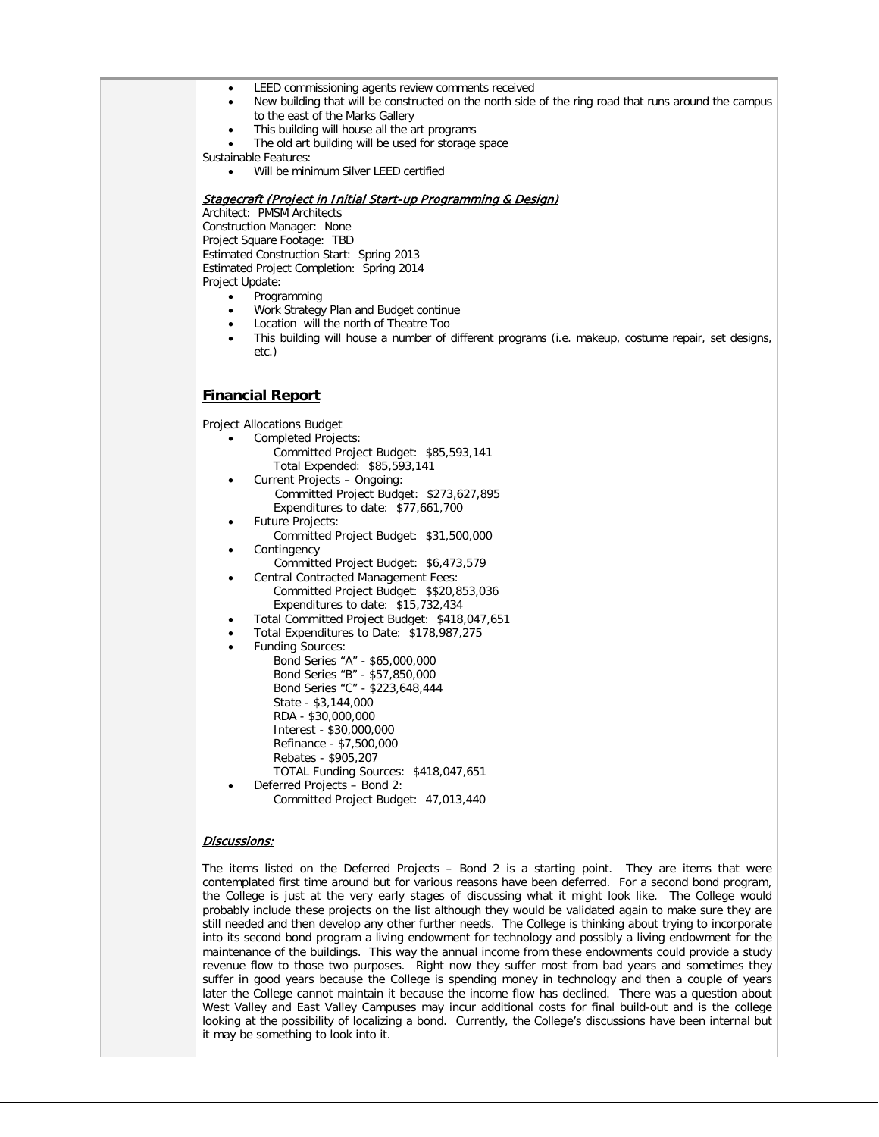- LEED commissioning agents review comments received
- New building that will be constructed on the north side of the ring road that runs around the campus to the east of the Marks Gallery
- This building will house all the art programs
- The old art building will be used for storage space

Sustainable Features:

Will be minimum Silver LEED certified

### Stagecraft (Project in Initial Start-up Programming & Design)

Architect: PMSM Architects Construction Manager: None Project Square Footage: TBD Estimated Construction Start: Spring 2013 Estimated Project Completion: Spring 2014 Project Update:

- Programming
- Work Strategy Plan and Budget continue
- Location will the north of Theatre Too
- This building will house a number of different programs (i.e. makeup, costume repair, set designs, etc.)

### **Financial Report**

Project Allocations Budget

- Completed Projects:
	- Committed Project Budget: \$85,593,141 Total Expended: \$85,593,141
- Current Projects Ongoing: Committed Project Budget: \$273,627,895 Expenditures to date: \$77,661,700
- Future Projects: Committed Project Budget: \$31,500,000
- **Contingency**
- Committed Project Budget: \$6,473,579
- Central Contracted Management Fees: Committed Project Budget: \$\$20,853,036 Expenditures to date: \$15,732,434
- Total Committed Project Budget: \$418,047,651
- Total Expenditures to Date: \$178,987,275
- Funding Sources:
	- Bond Series "A" \$65,000,000 Bond Series "B" - \$57,850,000 Bond Series "C" - \$223,648,444 State - \$3,144,000 RDA - \$30,000,000 Interest - \$30,000,000 Refinance - \$7,500,000 Rebates - \$905,207 TOTAL Funding Sources: \$418,047,651 • Deferred Projects – Bond 2:
- Committed Project Budget: 47,013,440

### Discussions:

The items listed on the Deferred Projects – Bond 2 is a starting point. They are items that were contemplated first time around but for various reasons have been deferred. For a second bond program, the College is just at the very early stages of discussing what it might look like. The College would probably include these projects on the list although they would be validated again to make sure they are still needed and then develop any other further needs. The College is thinking about trying to incorporate into its second bond program a living endowment for technology and possibly a living endowment for the maintenance of the buildings. This way the annual income from these endowments could provide a study revenue flow to those two purposes. Right now they suffer most from bad years and sometimes they suffer in good years because the College is spending money in technology and then a couple of years later the College cannot maintain it because the income flow has declined. There was a question about West Valley and East Valley Campuses may incur additional costs for final build-out and is the college looking at the possibility of localizing a bond. Currently, the College's discussions have been internal but it may be something to look into it.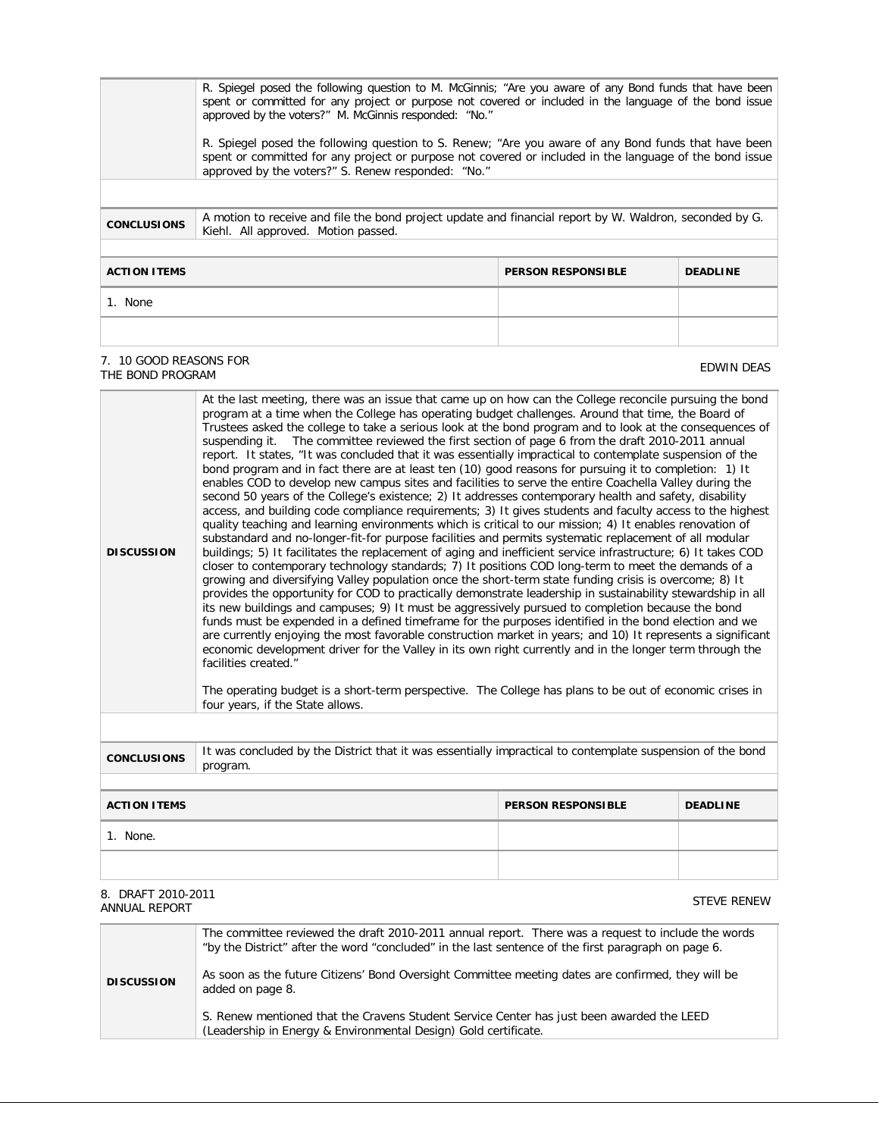| R. Spiegel posed the following question to M. McGinnis; "Are you aware of any Bond funds that have been<br>spent or committed for any project or purpose not covered or included in the language of the bond issue<br>approved by the voters?" M. McGinnis responded: "No."<br>R. Spiegel posed the following question to S. Renew; "Are you aware of any Bond funds that have been<br>spent or committed for any project or purpose not covered or included in the language of the bond issue<br>approved by the voters?" S. Renew responded: "No." |                                                                                                                                                |                           |                 |
|------------------------------------------------------------------------------------------------------------------------------------------------------------------------------------------------------------------------------------------------------------------------------------------------------------------------------------------------------------------------------------------------------------------------------------------------------------------------------------------------------------------------------------------------------|------------------------------------------------------------------------------------------------------------------------------------------------|---------------------------|-----------------|
| <b>CONCLUSIONS</b>                                                                                                                                                                                                                                                                                                                                                                                                                                                                                                                                   | A motion to receive and file the bond project update and financial report by W. Waldron, seconded by G.<br>Kiehl. All approved. Motion passed. |                           |                 |
| <b>ACTION ITEMS</b>                                                                                                                                                                                                                                                                                                                                                                                                                                                                                                                                  |                                                                                                                                                | <b>PERSON RESPONSIBLE</b> | <b>DEADLINE</b> |
| 1. None                                                                                                                                                                                                                                                                                                                                                                                                                                                                                                                                              |                                                                                                                                                |                           |                 |
|                                                                                                                                                                                                                                                                                                                                                                                                                                                                                                                                                      |                                                                                                                                                |                           |                 |

#### 7. 10 GOOD REASONS FOR THE BOND REASONS FOR THE SUPERINT STATES OF THE BOND PROGRAM THE BOND PROGRAM THE BOND PROGRAM THE SUPERINT STATES OF THE BOND PROGRAM THE BOND PROGRAM THE SUPERINT STATES OF THE BOND PROGRAM THE SUPERINT STATES OF THE SUP

**DISCUSSION** At the last meeting, there was an issue that came up on how can the College reconcile pursuing the bond program at a time when the College has operating budget challenges. Around that time, the Board of Trustees asked the college to take a serious look at the bond program and to look at the consequences of suspending it. The committee reviewed the first section of page 6 from the draft 2010-2011 annual report. It states, "It was concluded that it was essentially impractical to contemplate suspension of the bond program and in fact there are at least ten (10) good reasons for pursuing it to completion: 1) It enables COD to develop new campus sites and facilities to serve the entire Coachella Valley during the second 50 years of the College's existence; 2) It addresses contemporary health and safety, disability access, and building code compliance requirements; 3) It gives students and faculty access to the highest quality teaching and learning environments which is critical to our mission; 4) It enables renovation of substandard and no-longer-fit-for purpose facilities and permits systematic replacement of all modular buildings; 5) It facilitates the replacement of aging and inefficient service infrastructure; 6) It takes COD closer to contemporary technology standards; 7) It positions COD long-term to meet the demands of a growing and diversifying Valley population once the short-term state funding crisis is overcome; 8) It provides the opportunity for COD to practically demonstrate leadership in sustainability stewardship in all its new buildings and campuses; 9) It must be aggressively pursued to completion because the bond funds must be expended in a defined timeframe for the purposes identified in the bond election and we are currently enjoying the most favorable construction market in years; and 10) It represents a significant economic development driver for the Valley in its own right currently and in the longer term through the facilities created." The operating budget is a short-term perspective. The College has plans to be out of economic crises in four years, if the State allows.

**CONCLUSIONS** It was concluded by the District that it was essentially impractical to contemplate suspension of the bond program.

| <b>ACTION ITEMS</b> | <b>PERSON RESPONSIBLE</b> | <b>DEADLINE</b> |
|---------------------|---------------------------|-----------------|
| None.               |                           |                 |
|                     |                           |                 |

#### 8. DRAFT 2010-2011 ANNUAL REPORT TERM IN THE STEVE RENEW STEVE RENEW STEVE RENEW STEVE RENEW STEVE RENEW

|                   | The committee reviewed the draft 2010-2011 annual report. There was a request to include the words<br>"by the District" after the word "concluded" in the last sentence of the first paragraph on page 6. |  |
|-------------------|-----------------------------------------------------------------------------------------------------------------------------------------------------------------------------------------------------------|--|
| <b>DISCUSSION</b> | As soon as the future Citizens' Bond Oversight Committee meeting dates are confirmed, they will be<br>added on page 8.                                                                                    |  |
|                   | S. Renew mentioned that the Cravens Student Service Center has just been awarded the LEED<br>(Leadership in Energy & Environmental Design) Gold certificate.                                              |  |